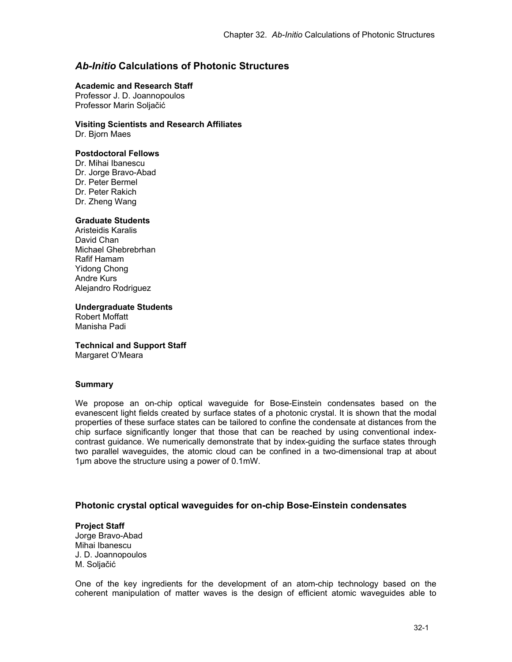# *Ab-Initio* **Calculations of Photonic Structures**

#### **Academic and Research Staff**

Professor J. D. Joannopoulos Professor Marin Soljačić

## **Visiting Scientists and Research Affiliates**

Dr. Bjorn Maes

## **Postdoctoral Fellows**

Dr. Mihai Ibanescu Dr. Jorge Bravo-Abad Dr. Peter Bermel Dr. Peter Rakich Dr. Zheng Wang

## **Graduate Students**

Aristeidis Karalis David Chan Michael Ghebrebrhan Rafif Hamam Yidong Chong Andre Kurs Alejandro Rodriguez

#### **Undergraduate Students**

Robert Moffatt Manisha Padi

# **Technical and Support Staff**

Margaret O'Meara

## **Summary**

We propose an on-chip optical waveguide for Bose-Einstein condensates based on the evanescent light fields created by surface states of a photonic crystal. It is shown that the modal properties of these surface states can be tailored to confine the condensate at distances from the chip surface significantly longer that those that can be reached by using conventional indexcontrast guidance. We numerically demonstrate that by index-guiding the surface states through two parallel waveguides, the atomic cloud can be confined in a two-dimensional trap at about 1μm above the structure using a power of 0.1mW.

# **Photonic crystal optical waveguides for on-chip Bose-Einstein condensates**

#### **Project Staff**  Jorge Bravo-Abad Mihai Ibanescu J. D. Joannopoulos M. Soljačić

One of the key ingredients for the development of an atom-chip technology based on the coherent manipulation of matter waves is the design of efficient atomic waveguides able to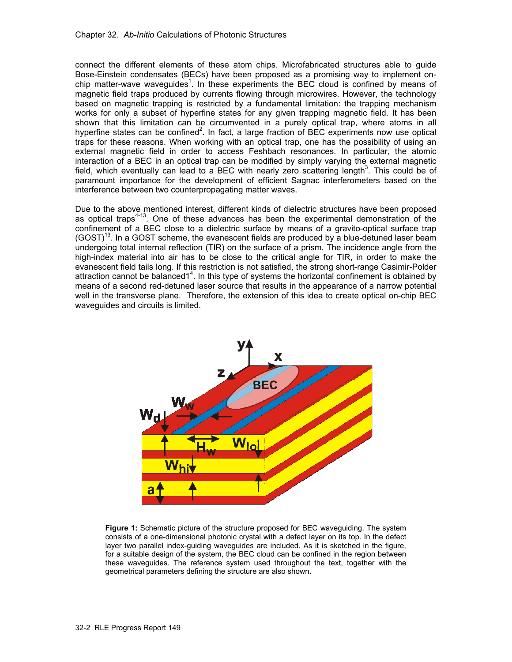connect the different elements of these atom chips. Microfabricated structures able to guide Bose-Einstein condensates (BECs) have been proposed as a promising way to implement onchip matter-wave waveguides<sup>1</sup>. In these experiments the BEC cloud is confined by means of magnetic field traps produced by currents flowing through microwires. However, the technology based on magnetic trapping is restricted by a fundamental limitation: the trapping mechanism works for only a subset of hyperfine states for any given trapping magnetic field. It has been shown that this limitation can be circumvented in a purely optical trap, where atoms in all hyperfine states can be confined<sup>2</sup>. In fact, a large fraction of BEC experiments now use optical traps for these reasons. When working with an optical trap, one has the possibility of using an external magnetic field in order to access Feshbach resonances. In particular, the atomic interaction of a BEC in an optical trap can be modified by simply varying the external magnetic field, which eventually can lead to a BEC with nearly zero scattering length<sup>3</sup>. This could be of paramount importance for the development of efficient Sagnac interferometers based on the interference between two counterpropagating matter waves.

Due to the above mentioned interest, different kinds of dielectric structures have been proposed as optical traps4-13. One of these advances has been the experimental demonstration of the confinement of a BEC close to a dielectric surface by means of a gravito-optical surface trap  $(GOST)^{13}$ . In a GOST scheme, the evanescent fields are produced by a blue-detuned laser beam undergoing total internal reflection (TIR) on the surface of a prism. The incidence angle from the high-index material into air has to be close to the critical angle for TIR, in order to make the evanescent field tails long. If this restriction is not satisfied, the strong short-range Casimir-Polder attraction cannot be balanced1<sup>4</sup>. In this type of systems the horizontal confinement is obtained by means of a second red-detuned laser source that results in the appearance of a narrow potential well in the transverse plane. Therefore, the extension of this idea to create optical on-chip BEC waveguides and circuits is limited.



**Figure 1:** Schematic picture of the structure proposed for BEC waveguiding. The system consists of a one-dimensional photonic crystal with a defect layer on its top. In the defect layer two parallel index-guiding waveguides are included. As it is sketched in the figure, for a suitable design of the system, the BEC cloud can be confined in the region between these waveguides. The reference system used throughout the text, together with the geometrical parameters defining the structure are also shown.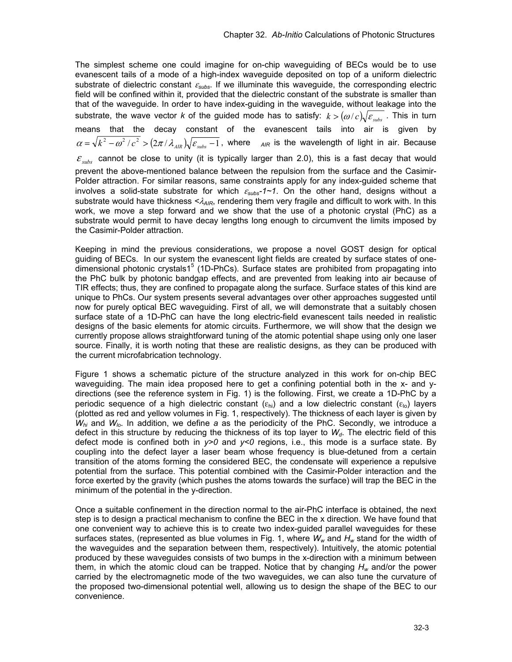The simplest scheme one could imagine for on-chip waveguiding of BECs would be to use evanescent tails of a mode of a high-index waveguide deposited on top of a uniform dielectric substrate of dielectric constant <sup>ε</sup>*subs*. If we illuminate this waveguide, the corresponding electric field will be confined within it, provided that the dielectric constant of the substrate is smaller than that of the waveguide. In order to have index-guiding in the waveguide, without leakage into the substrate, the wave vector *k* of the guided mode has to satisfy:  $k > (\omega/c) \sqrt{\varepsilon_{\text{sub}}^2}$ . This in turn means that the decay constant of the evanescent tails into air is given by  $\alpha = \sqrt{k^2 - \omega^2/c^2} > (2\pi/\lambda_{\text{AIR}})\sqrt{\varepsilon_{\text{subs}}-1}$ , where  $A_{\text{AIR}}$  is the wavelength of light in air. Because  $\varepsilon$ <sub>subs</sub> cannot be close to unity (it is typically larger than 2.0), this is a fast decay that would prevent the above-mentioned balance between the repulsion from the surface and the Casimir-Polder attraction. For similar reasons, same constraints apply for any index-guided scheme that involves a solid-state substrate for which ε*subs-1~1*. On the other hand, designs without a substrate would have thickness <λ<sub>AIR</sub>, rendering them very fragile and difficult to work with. In this work, we move a step forward and we show that the use of a photonic crystal (PhC) as a substrate would permit to have decay lengths long enough to circumvent the limits imposed by the Casimir-Polder attraction.

Keeping in mind the previous considerations, we propose a novel GOST design for optical guiding of BECs. In our system the evanescent light fields are created by surface states of onedimensional photonic crystals1<sup>5</sup> (1D-PhCs). Surface states are prohibited from propagating into the PhC bulk by photonic bandgap effects, and are prevented from leaking into air because of TIR effects; thus, they are confined to propagate along the surface. Surface states of this kind are unique to PhCs. Our system presents several advantages over other approaches suggested until now for purely optical BEC waveguiding. First of all, we will demonstrate that a suitably chosen surface state of a 1D-PhC can have the long electric-field evanescent tails needed in realistic designs of the basic elements for atomic circuits. Furthermore, we will show that the design we currently propose allows straightforward tuning of the atomic potential shape using only one laser source. Finally, it is worth noting that these are realistic designs, as they can be produced with the current microfabrication technology.

Figure 1 shows a schematic picture of the structure analyzed in this work for on-chip BEC waveguiding. The main idea proposed here to get a confining potential both in the x- and ydirections (see the reference system in Fig. 1) is the following. First, we create a 1D-PhC by a periodic sequence of a high dielectric constant ( $\varepsilon_{hi}$ ) and a low dielectric constant ( $\varepsilon_{lo}$ ) layers (plotted as red and yellow volumes in Fig. 1, respectively). The thickness of each layer is given by  $W_{hi}$  and  $W_{lo}$ . In addition, we define *a* as the periodicity of the PhC. Secondly, we introduce a defect in this structure by reducing the thickness of its top layer to  $W<sub>d</sub>$ . The electric field of this defect mode is confined both in *y>0* and *y<0* regions, i.e., this mode is a surface state. By coupling into the defect layer a laser beam whose frequency is blue-detuned from a certain transition of the atoms forming the considered BEC, the condensate will experience a repulsive potential from the surface. This potential combined with the Casimir-Polder interaction and the force exerted by the gravity (which pushes the atoms towards the surface) will trap the BEC in the minimum of the potential in the y-direction.

Once a suitable confinement in the direction normal to the air-PhC interface is obtained, the next step is to design a practical mechanism to confine the BEC in the x direction. We have found that one convenient way to achieve this is to create two index-guided parallel waveguides for these surfaces states, (represented as blue volumes in Fig. 1, where  $W_w$  and  $H_w$  stand for the width of the waveguides and the separation between them, respectively). Intuitively, the atomic potential produced by these waveguides consists of two bumps in the x-direction with a minimum between them, in which the atomic cloud can be trapped. Notice that by changing *Hw* and/or the power carried by the electromagnetic mode of the two waveguides, we can also tune the curvature of the proposed two-dimensional potential well, allowing us to design the shape of the BEC to our convenience.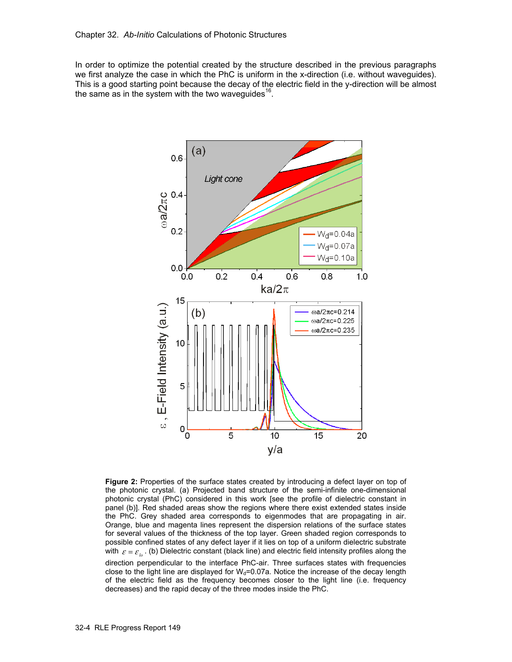In order to optimize the potential created by the structure described in the previous paragraphs we first analyze the case in which the PhC is uniform in the x-direction (i.e. without waveguides). This is a good starting point because the decay of the electric field in the y-direction will be almost the same as in the system with the two wavequides  $16$ .



**Figure 2:** Properties of the surface states created by introducing a defect layer on top of the photonic crystal. (a) Projected band structure of the semi-infinite one-dimensional photonic crystal (PhC) considered in this work [see the profile of dielectric constant in panel (b)]. Red shaded areas show the regions where there exist extended states inside the PhC. Grey shaded area corresponds to eigenmodes that are propagating in air. Orange, blue and magenta lines represent the dispersion relations of the surface states for several values of the thickness of the top layer. Green shaded region corresponds to possible confined states of any defect layer if it lies on top of a uniform dielectric substrate with  $\varepsilon = \varepsilon_{\iota}$ . (b) Dielectric constant (black line) and electric field intensity profiles along the direction perpendicular to the interface PhC-air. Three surfaces states with frequencies close to the light line are displayed for  $W_d$ =0.07a. Notice the increase of the decay length of the electric field as the frequency becomes closer to the light line (i.e. frequency decreases) and the rapid decay of the three modes inside the PhC.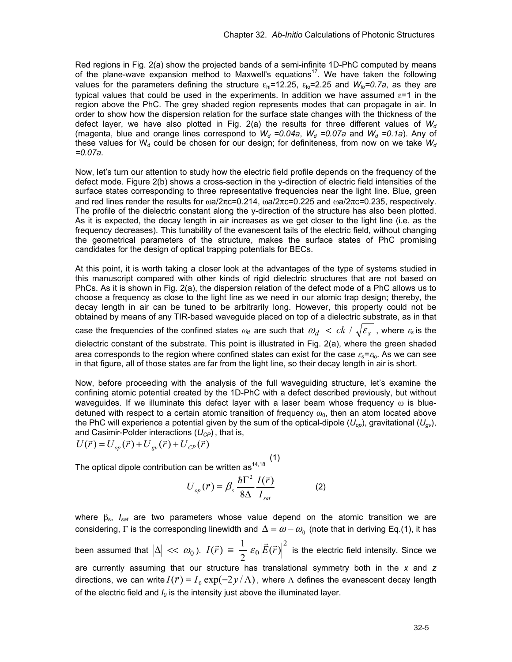Red regions in Fig. 2(a) show the projected bands of a semi-infinite 1D-PhC computed by means of the plane-wave expansion method to Maxwell's equations<sup>17</sup>. We have taken the following values for the parameters defining the structure  $\varepsilon_{hi}$ =12.25,  $\varepsilon_{lo}$ =2.25 and  $W_{lo}$ =0.7a, as they are typical values that could be used in the experiments. In addition we have assumed  $\varepsilon$ =1 in the region above the PhC. The grey shaded region represents modes that can propagate in air. In order to show how the dispersion relation for the surface state changes with the thickness of the defect layer, we have also plotted in Fig. 2(a) the results for three different values of  $W_d$ (magenta, blue and orange lines correspond to  $W_d$  =0.04a,  $W_d$  =0.07a and  $W_d$  =0.1a). Any of these values for W<sub>d</sub> could be chosen for our design; for definiteness, from now on we take  $W_d$ *=0.07a*.

Now, let's turn our attention to study how the electric field profile depends on the frequency of the defect mode. Figure 2(b) shows a cross-section in the y-direction of electric field intensities of the surface states corresponding to three representative frequencies near the light line. Blue, green and red lines render the results for  $\omega a/2\pi c = 0.214$ ,  $\omega a/2\pi c = 0.225$  and  $\omega a/2\pi c = 0.235$ , respectively. The profile of the dielectric constant along the y-direction of the structure has also been plotted. As it is expected, the decay length in air increases as we get closer to the light line (i.e. as the frequency decreases). This tunability of the evanescent tails of the electric field, without changing the geometrical parameters of the structure, makes the surface states of PhC promising candidates for the design of optical trapping potentials for BECs.

At this point, it is worth taking a closer look at the advantages of the type of systems studied in this manuscript compared with other kinds of rigid dielectric structures that are not based on PhCs. As it is shown in Fig. 2(a), the dispersion relation of the defect mode of a PhC allows us to choose a frequency as close to the light line as we need in our atomic trap design; thereby, the decay length in air can be tuned to be arbitrarily long. However, this property could not be obtained by means of any TIR-based waveguide placed on top of a dielectric substrate, as in that case the frequencies of the confined states  $\omega_d$  are such that  $\omega_d \prec ck \land \sqrt{\varepsilon_s}$ , where  $\varepsilon_s$  is the dielectric constant of the substrate. This point is illustrated in Fig. 2(a), where the green shaded

area corresponds to the region where confined states can exist for the case ε*s=*<sup>ε</sup>*lo*. As we can see in that figure, all of those states are far from the light line, so their decay length in air is short.

Now, before proceeding with the analysis of the full waveguiding structure, let's examine the confining atomic potential created by the 1D-PhC with a defect described previously, but without waveguides. If we illuminate this defect layer with a laser beam whose frequency  $\omega$  is bluedetuned with respect to a certain atomic transition of frequency  $\omega_0$ , then an atom located above the PhC will experience a potential given by the sum of the optical-dipole  $(U_{op})$ , gravitational  $(U_{ov})$ , and Casimir-Polder interactions ( $U_{CP}$ ), that is,<br>  $U(\vec{r}) = U_{on}(\vec{r}) + U_{on}(\vec{r}) + U_{CP}(\vec{r})$ 

$$
U(\vec{r}) = U_{op}(\vec{r}) + U_{gv}(\vec{r}) + U_{CP}(\vec{r})
$$

 $(1)$ The optical dipole contribution can be written as<sup>14,18</sup>

$$
U_{op}(\vec{r}) = \beta_s \frac{\hbar \Gamma^2}{8\Delta} \frac{I(\vec{r})}{I_{sat}} \tag{2}
$$

where βs, *Isat* are two parameters whose value depend on the atomic transition we are considering, Γ is the corresponding linewidth and  $\Delta = \omega - \omega_0$  (note that in deriving Eq.(1), it has been assumed that  $|\Delta| \ll \omega_0$  ).  $I(\vec{r}) \equiv \frac{1}{2} \, \varepsilon_0 \big| \vec{E}(\vec{r}) \big|^2$  is the electric field intensity. Since we are currently assuming that our structure has translational symmetry both in the *x* and *z* directions, we can write  $I(\vec{r}) = I_0 \exp(-2y/\Lambda)$ , where  $\Lambda$  defines the evanescent decay length of the electric field and  $I_0$  is the intensity just above the illuminated layer.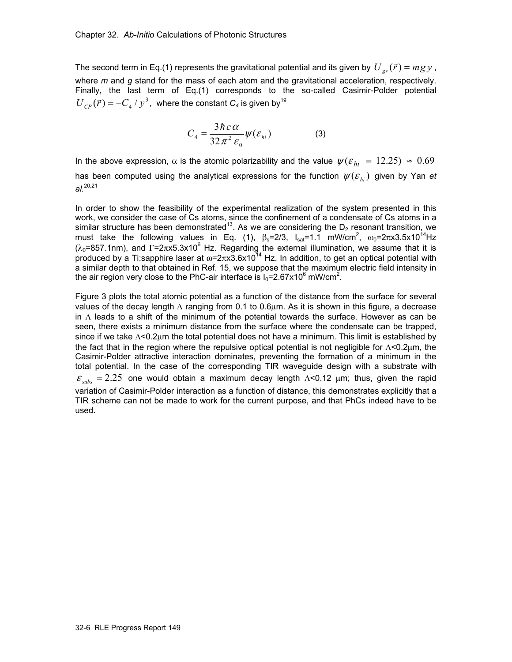The second term in Eq.(1) represents the gravitational potential and its given by  $U_{\infty}(\vec{r}) = mgy$ , where *m* and *g* stand for the mass of each atom and the gravitational acceleration, respectively. Finally, the last term of Eq.(1) corresponds to the so-called Casimir-Polder potential  $U_{CP}(\vec{r}) = -C_4/y^3$ , where the constant  $C_4$  is given by<sup>19</sup>

$$
C_4 = \frac{3\hbar c \alpha}{32\pi^2 \varepsilon_0} \psi(\varepsilon_{hi})
$$
 (3)

In the above expression,  $\alpha$  is the atomic polarizability and the value  $\psi(\varepsilon_{hi} = 12.25) \approx 0.69$ has been computed using the analytical expressions for the function  $\psi(\varepsilon_{\scriptscriptstyle h})$  given by Yan *et al.*20,21

In order to show the feasibility of the experimental realization of the system presented in this work, we consider the case of Cs atoms, since the confinement of a condensate of Cs atoms in a similar structure has been demonstrated<sup>13</sup>. As we are considering the  $D_2$  resonant transition, we must take the following values in Eq. (1),  $\beta_s=2/3$ ,  $I_{sat}=1.1$  mW/cm<sup>2</sup>,  $\omega_0=2\pi x3.5x10^{14}$ Hz ( $\lambda_0$ =857.1nm), and Γ=2πx5.3x10<sup>6</sup> Hz. Regarding the external illumination, we assume that it is produced by a Ti:sapphire laser at  $\omega$ =2πx3.6x10<sup>14</sup> Hz. In addition, to get an optical potential with a similar depth to that obtained in Ref. 15, we suppose that the maximum electric field intensity in the air region very close to the PhC-air interface is  $I_0 = 2.67 \times 10^6$  mW/cm<sup>2</sup>.

Figure 3 plots the total atomic potential as a function of the distance from the surface for several values of the decay length  $Λ$  ranging from 0.1 to 0.6μm. As it is shown in this figure, a decrease in  $\Lambda$  leads to a shift of the minimum of the potential towards the surface. However as can be seen, there exists a minimum distance from the surface where the condensate can be trapped, since if we take  $\Lambda$ <0.2 $\mu$ m the total potential does not have a minimum. This limit is established by the fact that in the region where the repulsive optical potential is not negligible for Λ<0.2μm, the Casimir-Polder attractive interaction dominates, preventing the formation of a minimum in the total potential. In the case of the corresponding TIR waveguide design with a substrate with  $\varepsilon_{\text{subs}} = 2.25$  one would obtain a maximum decay length  $\Lambda$ <0.12 μm; thus, given the rapid variation of Casimir-Polder interaction as a function of distance, this demonstrates explicitly that a TIR scheme can not be made to work for the current purpose, and that PhCs indeed have to be used.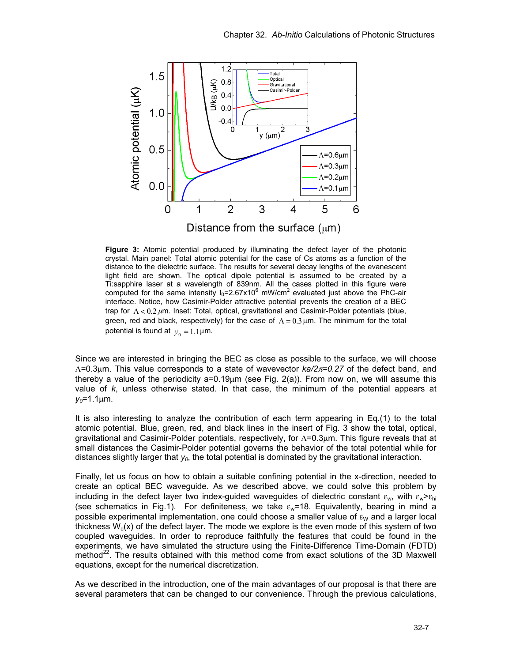

**Figure 3:** Atomic potential produced by illuminating the defect layer of the photonic crystal. Main panel: Total atomic potential for the case of Cs atoms as a function of the distance to the dielectric surface. The results for several decay lengths of the evanescent light field are shown. The optical dipole potential is assumed to be created by a Ti:sapphire laser at a wavelength of 839nm. All the cases plotted in this figure were computed for the same intensity  $I_0 = 2.67 \times 10^6$  mW/cm<sup>2</sup> evaluated just above the PhC-air interface. Notice, how Casimir-Polder attractive potential prevents the creation of a BEC trap for  $\Lambda < 0.2 \mu$ m. Inset: Total, optical, gravitational and Casimir-Polder potentials (blue, green, red and black, respectively) for the case of  $Λ = 0.3$ μm. The minimum for the total potential is found at  $y_0 = 1.1 \mu m$ .

Since we are interested in bringing the BEC as close as possible to the surface, we will choose Λ=0.3μm. This value corresponds to a state of wavevector *ka/2*π*=0.27* of the defect band, and thereby a value of the periodicity a=0.19μm (see Fig. 2(a)). From now on, we will assume this value of *k*, unless otherwise stated. In that case, the minimum of the potential appears at  $y_0 = 1.1 \mu m$ .

It is also interesting to analyze the contribution of each term appearing in Eq.(1) to the total atomic potential. Blue, green, red, and black lines in the insert of Fig. 3 show the total, optical, gravitational and Casimir-Polder potentials, respectively, for Λ=0.3μm. This figure reveals that at small distances the Casimir-Polder potential governs the behavior of the total potential while for distances slightly larger that  $y_0$ , the total potential is dominated by the gravitational interaction.

Finally, let us focus on how to obtain a suitable confining potential in the x-direction, needed to create an optical BEC waveguide. As we described above, we could solve this problem by including in the defect layer two index-guided waveguides of dielectric constant  $\varepsilon_{w}$ , with  $\varepsilon_{w} > \varepsilon_{hi}$ (see schematics in Fig.1). For definiteness, we take  $\varepsilon_w$ =18. Equivalently, bearing in mind a possible experimental implementation, one could choose a smaller value of  $\varepsilon_{W}$  and a larger local thickness  $W<sub>d</sub>(x)$  of the defect layer. The mode we explore is the even mode of this system of two coupled waveguides. In order to reproduce faithfully the features that could be found in the experiments, we have simulated the structure using the Finite-Difference Time-Domain (FDTD) method<sup>22</sup>. The results obtained with this method come from exact solutions of the 3D Maxwell equations, except for the numerical discretization.

As we described in the introduction, one of the main advantages of our proposal is that there are several parameters that can be changed to our convenience. Through the previous calculations,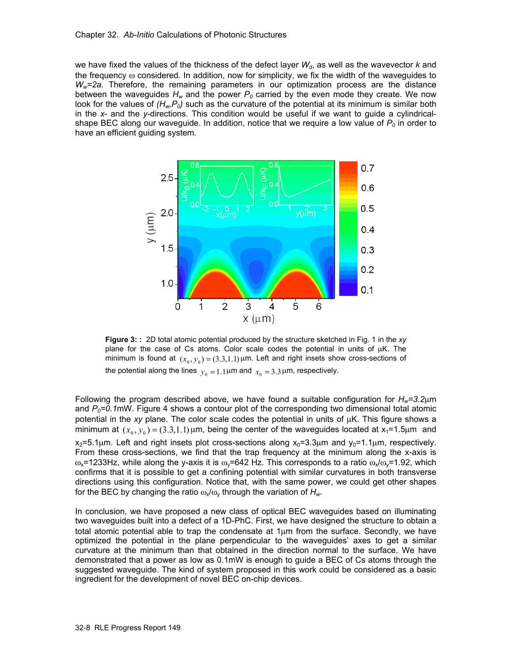#### Chapter 32. *Ab-Initio* Calculations of Photonic Structures

we have fixed the values of the thickness of the defect layer  $W_d$ , as well as the wavevector  $k$  and the frequency  $\omega$  considered. In addition, now for simplicity, we fix the width of the waveguides to *Ww=2a*. Therefore, the remaining parameters in our optimization process are the distance between the waveguides  $H_w$  and the power  $P_0$  carried by the even mode they create. We now look for the values of  $(H_w, P_o)$  such as the curvature of the potential at its minimum is similar both in the *x*- and the *y-*directions. This condition would be useful if we want to guide a cylindricalshape BEC along our waveguide. In addition, notice that we require a low value of  $P_0$  in order to have an efficient guiding system.



**Figure 3: :** 2D total atomic potential produced by the structure sketched in Fig. 1 in the *xy* plane for the case of Cs atoms. Color scale codes the potential in units of μK. The minimum is found at  $(x_0, y_0) = (3.3,1.1)$   $\mu$ m. Left and right insets show cross-sections of the potential along the lines  $y_0 = 1.1 \mu m$  and  $x_0 = 3.3 \mu m$ , respectively.

Following the program described above, we have found a suitable configuration for *Hw=3.2*μm and  $P_0$ =0.1mW. Figure 4 shows a contour plot of the corresponding two dimensional total atomic potential in the *xy* plane. The color scale codes the potential in units of μK. This figure shows a minimum at  $(x_0, y_0) = (3.3,1.1)$   $\mu$ m, being the center of the waveguides located at x<sub>1</sub>=1.5 $\mu$ m and  $x_2$ =5.1 $\mu$ m. Left and right insets plot cross-sections along  $x_0$ =3.3 $\mu$ m and  $y_0$ =1.1 $\mu$ m, respectively. From these cross-sections, we find that the trap frequency at the minimum along the x-axis is  $\omega_{\rm x}$ =1233Hz, while along the y-axis it is  $\omega_{\rm y}$ =642 Hz. This corresponds to a ratio  $\omega_{\rm x}/\omega_{\rm y}$ =1.92, which confirms that it is possible to get a confining potential with similar curvatures in both transverse directions using this configuration. Notice that, with the same power, we could get other shapes for the BEC by changing the ratio  $\omega_x/\omega_y$  through the variation of  $H_w$ .

In conclusion, we have proposed a new class of optical BEC waveguides based on illuminating two waveguides built into a defect of a 1D-PhC. First, we have designed the structure to obtain a total atomic potential able to trap the condensate at 1μm from the surface. Secondly, we have optimized the potential in the plane perpendicular to the waveguides' axes to get a similar curvature at the minimum than that obtained in the direction normal to the surface. We have demonstrated that a power as low as 0.1mW is enough to guide a BEC of Cs atoms through the suggested waveguide. The kind of system proposed in this work could be considered as a basic ingredient for the development of novel BEC on-chip devices.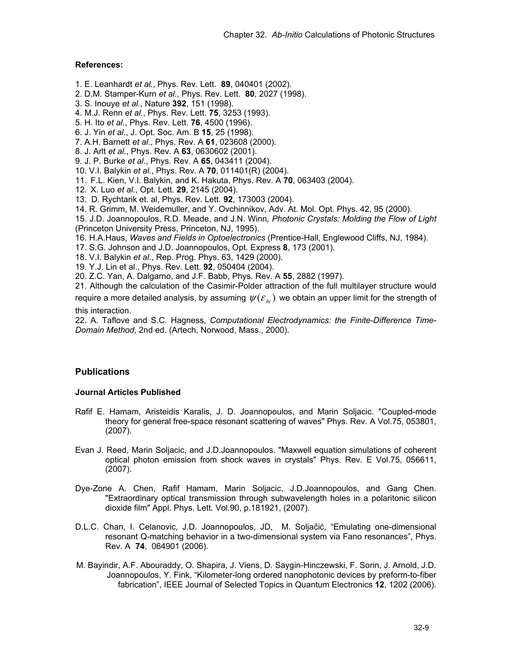## **References:**

- 1. E. Leanhardt *et al.*, Phys. Rev. Lett. **89**, 040401 (2002).
- 2. D.M. Stamper-Kurn *et al.*, Phys. Rev. Lett. **80**, 2027 (1998).
- 3. S. Inouye *et al.*, Nature **392**, 151 (1998).
- 4. M.J. Renn *et al.*, Phys. Rev. Lett. **75**, 3253 (1993).
- 5. H. Ito *et al.*, Phys. Rev. Lett. **76**, 4500 (1996).
- 6. J. Yin *et al.*, J. Opt. Soc. Am. B **15**, 25 (1998).
- 7. A.H. Barnett *et al.*, Phys. Rev. A **61**, 023608 (2000).
- 8. J. Arlt *et al.*, Phys. Rev. A **63**, 0630602 (2001).
- 9. J. P. Burke *et al.*, Phys. Rev. A **65**, 043411 (2004).
- 10. V.I. Balykin *et al.*, Phys. Rev. A **70**, 011401(R) (2004).
- 11. F.L. Kien, V.I. Balykin, and K. Hakuta, Phys. Rev. A **70**, 063403 (2004).
- 12. X. Luo *et al.*, Opt. Lett. **29**, 2145 (2004).
- 13. D. Rychtarik et. al, Phys. Rev. Lett. **92**, 173003 (2004).
- 14. R. Grimm, M. Weidemuller, and Y. Ovchinnikov, Adv. At. Mol. Opt. Phys. 42, 95 (2000).

15. J.D. Joannopoulos, R.D. Meade, and J.N. Winn*, Photonic Crystals: Molding the Flow of Light* (Princeton University Press, Princeton, NJ, 1995).

16. H.A.Haus, *Waves and Fields in Optoelectronics* (Prentice-Hall, Englewood Cliffs, NJ, 1984).

- 17. S.G. Johnson and J.D. Joannopoulos, Opt. Express **8**, 173 (2001).
- 18. V.I. Balykin *et al.*, Rep. Prog. Phys. 63, 1429 (2000).
- 19. Y.J. Lin et al., Phys. Rev. Lett. **92**, 050404 (2004).

20. Z.C. Yan, A. Dalgarno, and J.F. Babb, Phys. Rev. A **55**, 2882 (1997).

21. Although the calculation of the Casimir-Polder attraction of the full multilayer structure would require a more detailed analysis, by assuming  $\psi(\varepsilon_{\scriptscriptstyle h i})$  we obtain an upper limit for the strength of

this interaction.

22. A. Taflove and S.C. Hagness, *Computational Electrodynamics: the Finite-Difference Time-Domain Method*, 2nd ed. (Artech, Norwood, Mass., 2000).

# **Publications**

## **Journal Articles Published**

- Rafif E. Hamam, Aristeidis Karalis, J. D. Joannopoulos, and Marin Soljacic. "Coupled-mode theory for general free-space resonant scattering of waves" Phys. Rev. A Vol.75, 053801, (2007).
- Evan J. Reed, Marin Soljacic, and J.D.Joannopoulos. "Maxwell equation simulations of coherent optical photon emission from shock waves in crystals" Phys. Rev. E Vol.75, 056611, (2007).
- Dye-Zone A. Chen, Rafif Hamam, Marin Soljacic, J.D.Joannopoulos, and Gang Chen. "Extraordinary optical transmission through subwavelength holes in a polaritonic silicon dioxide film" Appl. Phys. Lett. Vol.90, p.181921, (2007).
- D.L.C. Chan, I. Celanovic, J.D. Joannopoulos, JD, M. Soljačić, "Emulating one-dimensional resonant Q-matching behavior in a two-dimensional system via Fano resonances", Phys. Rev. A **74**, 064901 (2006).
- M. Bayindir, A.F. Abouraddy, O. Shapira, J. Viens, D. Saygin-Hinczewski, F. Sorin, J. Arnold, J.D. Joannopoulos, Y. Fink, "Kilometer-long ordered nanophotonic devices by preform-to-fiber fabrication", IEEE Journal of Selected Topics in Quantum Electronics **12**, 1202 (2006).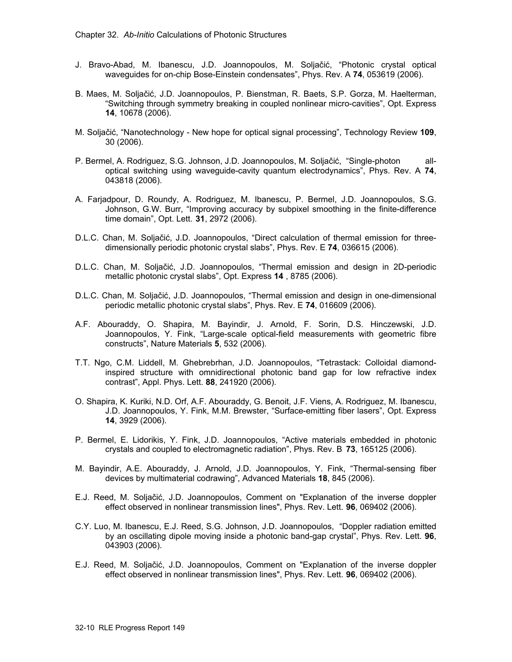- J. Bravo-Abad, M. Ibanescu, J.D. Joannopoulos, M. Soljačić, "Photonic crystal optical waveguides for on-chip Bose-Einstein condensates", Phys. Rev. A **74**, 053619 (2006).
- B. Maes, M. Soljačić, J.D. Joannopoulos, P. Bienstman, R. Baets, S.P. Gorza, M. Haelterman, "Switching through symmetry breaking in coupled nonlinear micro-cavities", Opt. Express **14**, 10678 (2006).
- M. Soljačić, "Nanotechnology New hope for optical signal processing", Technology Review **109**, 30 (2006).
- P. Bermel, A. Rodriguez, S.G. Johnson, J.D. Joannopoulos, M. Soljačić, "Single-photon alloptical switching using waveguide-cavity quantum electrodynamics", Phys. Rev. A **74**, 043818 (2006).
- A. Farjadpour, D. Roundy, A. Rodriguez, M. Ibanescu, P. Bermel, J.D. Joannopoulos, S.G. Johnson, G.W. Burr, "Improving accuracy by subpixel smoothing in the finite-difference time domain", Opt. Lett. **31**, 2972 (2006).
- D.L.C. Chan, M. Soljačić, J.D. Joannopoulos, "Direct calculation of thermal emission for threedimensionally periodic photonic crystal slabs", Phys. Rev. E **74**, 036615 (2006).
- D.L.C. Chan, M. Soljačić, J.D. Joannopoulos, "Thermal emission and design in 2D-periodic metallic photonic crystal slabs", Opt. Express **14** , 8785 (2006).
- D.L.C. Chan, M. Soljačić, J.D. Joannopoulos, "Thermal emission and design in one-dimensional periodic metallic photonic crystal slabs", Phys. Rev. E **74**, 016609 (2006).
- A.F. Abouraddy, O. Shapira, M. Bayindir, J. Arnold, F. Sorin, D.S. Hinczewski, J.D. Joannopoulos, Y. Fink, "Large-scale optical-field measurements with geometric fibre constructs", Nature Materials **5**, 532 (2006).
- T.T. Ngo, C.M. Liddell, M. Ghebrebrhan, J.D. Joannopoulos, "Tetrastack: Colloidal diamondinspired structure with omnidirectional photonic band gap for low refractive index contrast", Appl. Phys. Lett. **88**, 241920 (2006).
- O. Shapira, K. Kuriki, N.D. Orf, A.F. Abouraddy, G. Benoit, J.F. Viens, A. Rodriguez, M. Ibanescu, J.D. Joannopoulos, Y. Fink, M.M. Brewster, "Surface-emitting fiber lasers", Opt. Express **14**, 3929 (2006).
- P. Bermel, E. Lidorikis, Y. Fink, J.D. Joannopoulos, "Active materials embedded in photonic crystals and coupled to electromagnetic radiation", Phys. Rev. B **73**, 165125 (2006).
- M. Bayindir, A.E. Abouraddy, J. Arnold, J.D. Joannopoulos, Y. Fink, "Thermal-sensing fiber devices by multimaterial codrawing", Advanced Materials **18**, 845 (2006).
- E.J. Reed, M. Soljačić, J.D. Joannopoulos, Comment on "Explanation of the inverse doppler effect observed in nonlinear transmission lines", Phys. Rev. Lett. **96**, 069402 (2006).
- C.Y. Luo, M. Ibanescu, E.J. Reed, S.G. Johnson, J.D. Joannopoulos, "Doppler radiation emitted by an oscillating dipole moving inside a photonic band-gap crystal", Phys. Rev. Lett. **96**, 043903 (2006).
- E.J. Reed, M. Soljačić, J.D. Joannopoulos, Comment on "Explanation of the inverse doppler effect observed in nonlinear transmission lines", Phys. Rev. Lett. **96**, 069402 (2006).